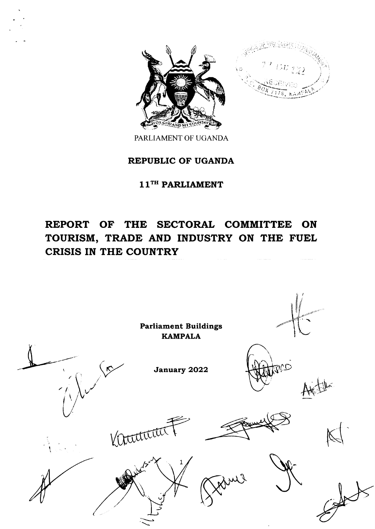



PARLIAMENT OF UGANDA

# REPUBLIC OF UGANDA

 $11^{TH}$  PARLIAMENT

# REPORT OF THE SECTORAL COMMITTEE ON TOURISM, TRADE AND INDUSTRY ON THE FUEL CRISIS IN THE COUNTRY

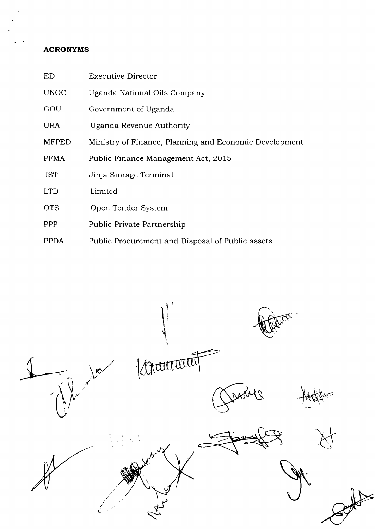# ACRONYMS

| <b>ED</b>    | <b>Executive Director</b>                              |
|--------------|--------------------------------------------------------|
| <b>UNOC</b>  | Uganda National Oils Company                           |
| GOU          | Government of Uganda                                   |
| <b>URA</b>   | Uganda Revenue Authority                               |
| <b>MFPED</b> | Ministry of Finance, Planning and Economic Development |
| <b>PFMA</b>  | Public Finance Management Act, 2015                    |
| <b>JST</b>   | Jinja Storage Terminal                                 |
| <b>LTD</b>   | Limited                                                |
| <b>OTS</b>   | Open Tender System                                     |
| <b>PPP</b>   | Public Private Partnership                             |
| <b>PPDA</b>  | Public Procurement and Disposal of Public assets       |

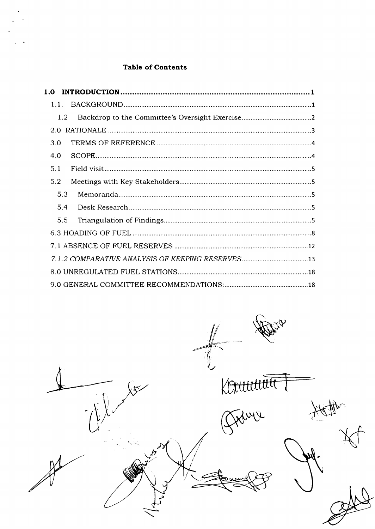## Table of Contents

|     | 1.2 <sub>1</sub> |  |
|-----|------------------|--|
|     |                  |  |
| 3.0 |                  |  |
| 4.0 |                  |  |
| 5.1 |                  |  |
| 5.2 |                  |  |
|     | 5.3              |  |
|     | 5.4              |  |
|     | 5.5              |  |
|     |                  |  |
|     |                  |  |
|     |                  |  |
|     |                  |  |
|     |                  |  |

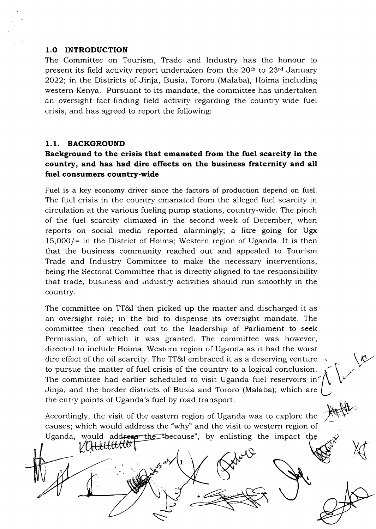#### 1.O INTRODUCTION

The Committee on Tourism, Trade and Industry has the honour to present its field activity report undertaken from the 20<sup>th</sup> to 23<sup>rd</sup> January 2022; in the Districts of Jinja, Busia, Tororo (Malaba), Hoima including western Kenya. Pursuant to its mandate, the committee has undertaken an oversight fact-finding field activity regarding the country-wide fuel crisis, and has agreed to report the following:

#### 1.1. BACKGROUND

## Background to the crisis that emanated from the fuel scarcity in the country, and has had dire effects on the business fraternity and all fuel consumers country-wide

Fuel is a key economy driver since the factors of production depend on fuel. The fuel crisis in the country emanated from the alleged fuel scarcity in circulation at the various fueling pump stations, country-wide. The pinch of the fuel scarcity climaxed in the second week of December, when reports on social media reported alarmingly; a litre going for Ugx 15,000/= in the District of Hoima; Western region of Uganda. It is then that the business community reached out and appealed to Tourism Trade and Industry Committee to make the necessary interventions, being the Sectoral Committee that is directly aligned to the responsibility that trade, business and industry activities should run smoothly in the country.

The committee on TT&l then picked up the matter and discharged it as an oversight role; in the bid to dispense its oversight mandate. The committee then reached out to the leadership of Parliament to seek Permission, of which it was granted. The committee was however, directed to include Hoima; Western region of Uganda as it had the worst dire effect of the oil scarcity. The TT&l embraced it as a deserving venture i to pursue the matter of fuel crisis of the country to a logical conclusion. The committee had earlier scheduled to visit Uganda fuel reservoirs in Jinja, and the border districts of Busia and Tororo (Malaba); which are (, the entry points of Uganda's fuel by road transport.

Accordingly, the visit of the eastern region of Uganda was to explore the causes; which would address the "why'' and the visit to western region of Uganda, would add<del>ress the "b</del>ecause", by enlisting the impact VA<del>UUUU</del>

 $\bigvee_{i=1}^{n}$ 

(

 $\mathbb{X}$ 

f. V

 $\omega\swarrow$  (1

 $\overline{\phantom{0}}$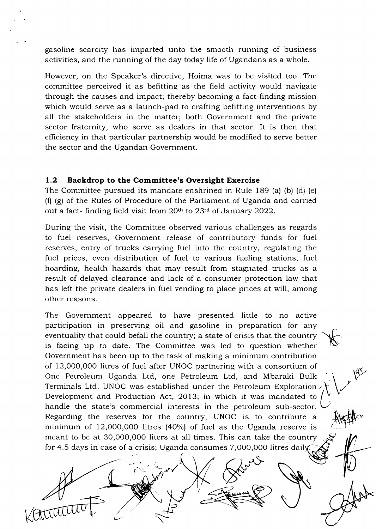gasoline scarcity has imparted unto the smooth running of business activities, and the running of the day today life of Ugandans as a whole.

However, on the Speaker's directive, Hoima was to be visited too. The committee perceived it as befitting as the field activity would navigate through the causes and impact; thereby becoming a fact-finding mission which would serve as a launch-pad to crafting befitting interventions by all the stakeholders in the matter; both Government and the private sector fraternity, who serve as dealers in that sector. It is then that efficiency in that particular partnership would be modified to serve better the sector and the Ugandan Government.

#### 1.2 Backdrop to the Committee's Oversight Exercise

The Committee pursued its mandate enshrined in Rule 189 (a) (b) (d) (e)  $(f)$  (g) of the Rules of Procedure of the Parliament of Uganda and carried out a fact- finding field visit from 20<sup>th</sup> to 23<sup>rd</sup> of January 2022.

During the visit, the Committee observed various challenges as regards to fuel reserves, Government release of contributory funds for fuel reserves, entry of trucks carrying fuel into the country, regulating the fuel prices, even distribution of fuel to various fueling stations, fuel hoarding, health hazards that may result from stagnated trucks as a result of delayed clearance and lack of a consumer protection law that has left the private dealers in fuel vending to place prices at will, among other reasons.

The Government appeared to have presented little to no active participation in preserving oil and gasoline in preparation for any eventuality that could befall the country; a state of crisis that the country is facing up to date. The Committee was led to question whether Government has been up to the task of making a minimum contribution of 12,000,0OO litres of fuel after UNOC partnering with a consortium of One Petroleum Uganda Ltd, one Petroleum Ltd, and Mbaraki Bulk Terminals Ltd. UNOC was established under the Petroleum Exploration. Development and Production Act, 2013; in which it was mandated to handle the state's commercial interests in the petroleum sub-sector. Regarding the reserves for the country, UNOC is to contribute a minimum of 12,000,000 litres (40%) of fuel as the Uganda reserve is meant to be at 30,000,000 liters at all times. This can take the country for 4.5 days in case of a crisis; Uganda consumes 7,O00,000 litres dail

 $\mathcal{L}_{\mathcal{N}}(x) \neq \emptyset$ 

J

i

 $\mathcal{L}$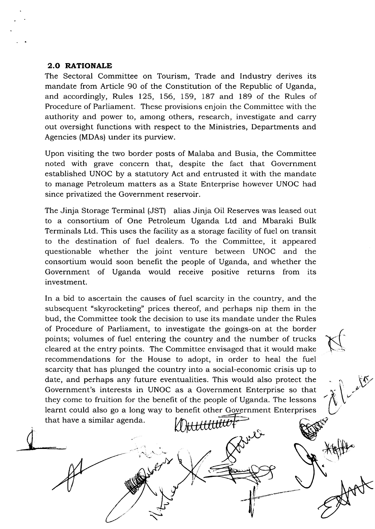#### 2.O RATIONALE

The Sectoral Committee on Tourism, Trade and Industry derives its mandate from Article 90 of the Constitution of the Republic of Uganda, and accordingly, Rules I25, 156, 159, 187 and 189 of the Rules of Procedure of Parliament. These provisions enjoin the Committee with the authority and power to, among others, research, investigate and carry out oversight functions with respect to the Ministries, Departments and Agencies (MDAs) under its purview.

Upon visiting the two border posts of Malaba and Busia, the Committee noted with grave concern that, despite the fact that Government established UNOC by a statutory Act and entrusted it with the mandate to manage Petroleum matters as a State Enterprise however UNOC had since privatized the Government reservoir.

The Jinja Storage Terminal (JST) alias Jinja Oil Reserves was leased out to a consortium of One Petroleum Uganda Ltd and Mbaraki Bulk Terminals Ltd. This uses the facility as a storage facility of fuel on transit to the destination of fuel dealers. To the Committee, it appeared questionable whether the joint venture between UNOC and the consortium would soon benefit the people of Uganda, and whether the Government of Uganda would receive positive returns from its investment.

In a bid to ascertain the causes of fuel scarcity in the country, and the subsequent "skyrocketing" prices thereof, and perhaps nip them in the bud, the Committee took the decision to use its mandate under the Rules of Procedure of Parliament, to investigate the goings-on at the border points; volumes of fuel entering the country and the number of trucks cleared at the entry points. The Committee envisaged that it would make recommendations for the House to adopt, in order to heal the fuel scarcity that has plunged the country into a social-economic crisis up to date, and perhaps any future eventualities. This would also protect the Government's interests in UNOC as a Government Enterprise so that they come to fruition for the benefit of the people of Uganda. The lessons learnt could also go a long way to benefit other Government Enterprises that have a similar agenda. Dittitititt

 $\ddot{\phantom{0}}$ 

 $\ddot{\phantom{0}}$ 

 $\bigcup$ 

 $\mathcal{\nabla}% _{\boldsymbol{\lambda}}\left( t\right)$ 

(

V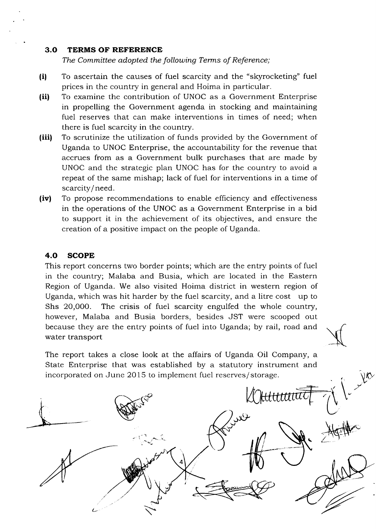#### 3.O TERMS OF REFERENCE

The Committee adopted the following Terms of Reference;

- (il To ascertain the causes of fuel scarcity and the "skyrocketing" fuel prices in the country in general and Hoima in particular.
- (ii) To examine the contribution of UNOC as a Government Enterprise in propelling the Government agenda in stocking and maintaining fuel reserves that can make interventions in times of need; when there is fuel scarcity in the country.
- (iii) To scrutinize the utilization of funds provided by the Government of Uganda to UNOC Enterprise, the accountability for the revenue that accrues from as a Government bulk purchases that are made by UNOC and the strategic plan UNOC has for the country to avoid a repeat of the same mishap; lack of fuel for interventions in a time of scarcity/ need.
- (iv) To propose recommendations to enable efficiency and effectiveness in the operations of the UNOC as a Government Enterprise in a bid to support it in the achievement of its objectives, and ensure the creation of a positive impact on the people of Uganda.

#### 4.O SCOPE

This report concerns two border points; which are the entry points of fuel in the country; Malaba and Busia, which are located in the Eastern Region of Uganda. We also visited Hoima district in western region of Uganda, which was hit harder by the fuel scarcity, and a litre cost up to Shs 20,000. The crisis of fuel scarcity engulfed the whole country, however, Malaba and Busia borders, besides JST were scooped out because they are the entry points of fuel into Uganda; by rail, road and water transport

The report takes a close look at the affairs of Uganda Oil Company, a State Enterprise that was established by a statutory instrument and incorporated on June 2015 to implement fuel reserves/storage.

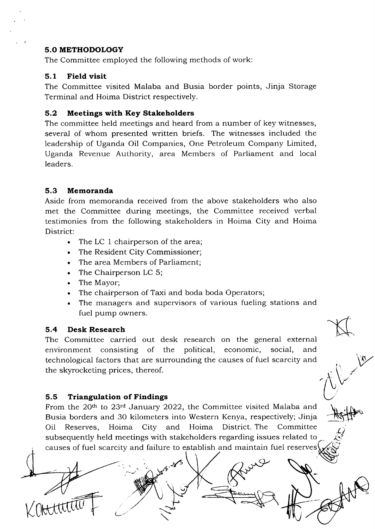#### 5.O METHODOLOGY

The Committee employed the following methods of work:

#### 5.1 Field visit

The Committee visited Malaba and Busia border points, Jinja Storage Terminal and Hoima District respectively.

### 5.2 Meetings with Key Stakeholders

The committee held meetings and heard from a number of key witnesses, several of whom presented written briefs. The witnesses included the leadership of Uganda Oil Companies, One Petroleum Company Limited, Uganda Revenue Authority, area Members of Parliament and local leaders.

### 5.3 Memoranda

Aside from memoranda received from the above stakeholders who also met the Committee during meetings, the Committee received verbal testimonies from the following stakeholders in Hoima City and Hoima District:

- . The LC I chairperson of the area;
- . The Resident City Commissioner;
- . The area Members of Parliament;
- . The Chairperson LC 5;
- . The Mayor;
- . The chairperson of Taxi and boda boda Operators;
- . The managers and supervisors of various fueling stations and fuel pump owners.

#### 5.4 Desk Research

Kilternin F

The Committee carried out desk research on the general external environment consisting of the political, economic, social, and technological factors that are surrounding the causes of fuel scarcity and the skyrocketing prices, thereof.

#### 5.5 Triangulation of Findings

From the 20<sup>th</sup> to 23<sup>rd</sup> January 2022, the Committee visited Malaba and Busia borders and 30 kilometers into Western Kenya, respectively; Jinja District. The Committee Oil Reserves, Hoima City and Hoima subsequently held meetings with stakeholders regarding issues related to causes of fuel scarcity and failure to establish

**.rf** 

/

 $\bigcup_{i=1}^{n}$ 

 $\overline{\text{H}}$ 

 $\frac{1}{\sqrt{N}}$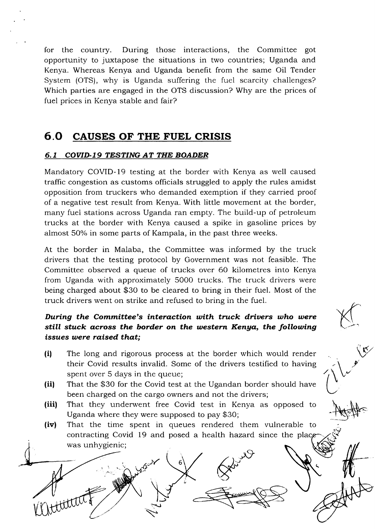for the country. During those interactions, the Committee got opportunity to juxtapose the situations in two countries; Uganda and Kenya. Whereas Kenya and Uganda benefit from the same Oil Tender System (OTS), why is Uganda suffering the fuel scarcity challenges? Which parties are engaged in the OTS discussion? Why are the prices of fuel prices in Kenya stable and fair?

# 6.0 CAUSES OF THE FUEL CRISIS

### 6.1 COVID-19 TESTING AT THE BOADER

Mandatory COVID-19 testing at the border with Kenya as well caused traffic congestion as customs officials struggled to apply the rules amidst opposition from truckers who demanded exemption if they carried proof of a negative test result from Kenya. With little movement at the border, many fuel stations across Uganda ran empty. The build-up of petroleum trucks at the border with Kenya caused a spike in gasoline prices by almost 5O% in some parts of Kampala, in the past three weeks.

At the border in Malaba, the Committee was informed by the truck drivers that the testing protocol by Government was not feasible. The Committee observed a queue of trucks over 60 kilometres into Kenya from Uganda with approximately 5000 trucks. The truck drivers were being charged about \$30 to be cleared to bring in their fuel. Most of the truck drivers went on strike and refused to bring in the fuel.

# During the Committee's interaction with truck drivers who were still stuck across the border on the western Kenya, the following issues were raised that;

(i) The long and rigorous process at the border which would render their Covid results invalid. Some of the drivers testified to having spent over 5 days in the queue;

**VET** 

 $\gamma\sqrt{\nu^{\prime}}$ 

 $\bigotimes$ 

 $\frac{1}{2}$ 

- (ii) That the \$30 for the Covid test at the Ugandan border should have been charged on the cargo owners and not the drivers;
- (iii) That they underwent free Covid test in Kenya as opposed to Uganda where they were supposed to pay \$30;
- (iv) That the time spent in queues rendered them vulnerable to contracting Covid 19 and posed a health hazard since the was unhygienic;

J r<-J  $\ddot{\phantom{0}}$ 6 2 3 49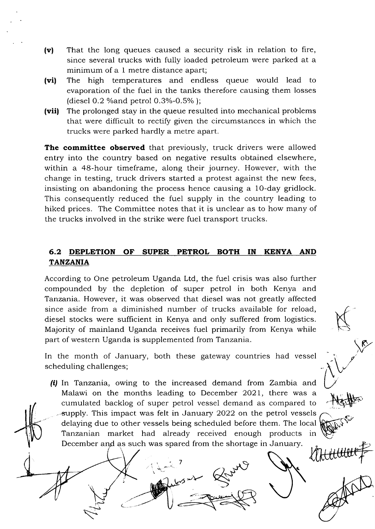- (v) That the long queues caused a security risk in relation to fire, since several trucks with fully loaded petroleum were parked at a minimum of a 1 metre distance apart;
- (vil The high temperatures and endless queue would lead to evaporation of the fuel in the tanks therefore causing them losses (diesel  $0.2$  % and petrol  $0.3% -0.5%$ );
- $(vii)$ The prolonged stay in the queue resulted into mechanical problems that were difficult to rectify given the circumstances in which the trucks were parked hardly a metre apart.

The committee observed that previously, truck drivers were allowed entry into the country based on negative results obtained elsewhere, within a 4S-hour timeframe, along their journey. However, with the change in testing, truck drivers started a protest against the new fees, insisting on abandoning the process hence causing a 1O-day gridlock. This consequently reduced the fuel supply in the country leading to hiked prices. The Committee notes that it is unclear as to how many of the trucks involved in the strike were fuel transport trucks.

## 6.2 DEPLETION OF SUPER PETROL BOTH IN KENYA AND TANZANIA

According to One petroleum Uganda Ltd, the fuel crisis was also further compounded by the depletion of super petrol in both Kenya and Tanzania. However, it was observed that diesel was not greatly affected since aside from a diminished number of trucks available for reload, diesel stocks were suflicient in Kenya and only suffered from logistics. Majority of mainland Uganda receives fuel primarily from Kenya while part of western Uganda is supplemented from Tanzania.

K

 $\delta_{\nu}$ 

Hatter

 $\sqrt{\frac{R}{c}}$ 

In the month of January, both these gateway countries had vessel scheduling challenges;

(i) In Tanzania, owing to the increased demand from Zambia and Malawi on the months leading to December 2O2L, there was <sup>a</sup> cumulated backlog of super petrol vessel demand as compared to supply. This impact was felt in January 2022 on the petrol vessels delaying due to other vessels being scheduled before them. The local Tanzanian market had already received enough products in December and as such was spared from the shortage in January.

7

بينه

 $\epsilon$ -.-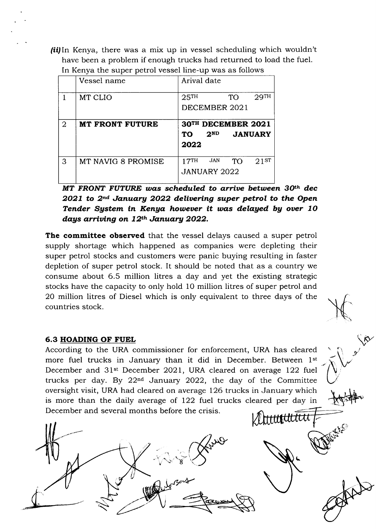$(iii)$ In Kenya, there was a mix up in vessel scheduling which wouldn't have been a problem if enough trucks had returned to load the fuel. In Kenya the super petrol vessel line-up was as follows

|                | Vessel name            | Arival date                                       |
|----------------|------------------------|---------------------------------------------------|
|                | MT CLIO                | 29 <sup>TH</sup><br>25 <sup>TH</sup><br><b>TO</b> |
|                |                        | DECEMBER 2021                                     |
| $\overline{2}$ | <b>MT FRONT FUTURE</b> | 30TH DECEMBER 2021                                |
|                |                        | 2 <sup>ND</sup><br><b>JANUARY</b><br>TO           |
|                |                        | 2022                                              |

MT FRONT FUTURE was scheduled to arrive between 30<sup>th</sup> dec  $2021$  to  $2<sup>nd</sup>$  January 2022 delivering super petrol to the Open Tender System in Kenya however it was delayed by over 10 days arriving on  $12^{th}$  January 2022.

The committee observed that the vessel delays caused a super petrol supply shortage which happened as companies were depleting their super petrol stocks and customers were panic buying resulting in faster depletion of super petrol stock. It should be noted that as a country we consume about 6.5 million litres a day and yet the existing strategic stocks have the capacity to only hold 10 million litres of super petrol and 20 million litres of Diesel which is only equivalent to three days of the countries stock.

#### 6.3 HOADING OF FUEL

According to the URA commissioner for enforcement, URA has cleared more fuel trucks in January than it did in December. Between 1st December and 31st December 2021, URA cleared on average 122 fuel trucks per day. By  $22<sup>nd</sup>$  January 2022, the day of the Committee oversight visit, URA had cleared on average 126 trucks in January which is more than the daily average of I22 fuel trucks cleared per day in December and several months before the crisis. Attituttitti

 $\varphi_{\!\mathcal{U}}'$ 

..

L

 $\mathcal{X}$ 

 $\sqrt{\gamma}$ 

.v

 $\bigcup$ 

+\$'#^,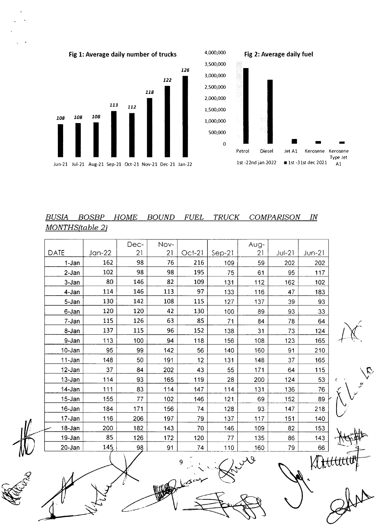

#### **BUSIA BOSBP HOME** BOUND FUEL TRUCK **COMPARISON**  $IN$ MONTHS(table 2)

|             |          | Dec-           | Nov- |          |          | Aug- |          |          |   |
|-------------|----------|----------------|------|----------|----------|------|----------|----------|---|
| <b>DATE</b> | $Jan-22$ | 21             | 21   | $Oct-21$ | $Sep-21$ | 21   | $JU$ -21 | $Jun-21$ |   |
| 1-Jan       | 162      | 98             | 76   | 216      | 109      | 59   | 202      | 202      |   |
| $2-Jan$     | 102      | 98             | 98   | 195      | 75       | 61   | 95       | 117      |   |
| 3-Jan       | 80       | 146            | 82   | 109      | 131      | 112  | 162      | 102      |   |
| 4-Jan       | 114      | 146            | 113  | 97       | 133      | 116  | 47       | 183      |   |
| 5-Jan       | 130      | 142            | 108  | 115      | 127      | 137  | 39       | 93       |   |
| 6-Jan       | 120      | 120            | 42   | 130      | 100      | 89   | 93       | 33       |   |
| 7-Jan       | 115      | 126            | 63   | 85       | 71       | 84   | 78       | 64       |   |
| 8-Jan       | 137      | 115            | 96   | 152      | 138      | 31   | 73       | 124      |   |
| 9-Jan       | 113      | 100            | 94   | 118      | 156      | 108  | 123      | 165      |   |
| 10-Jan      | 95       | 99             | 142  | 56       | 140      | 160  | 91       | 210      |   |
| 11-Jan      | 148      | 50             | 191  | 12       | 131      | 148  | 37       | 165      |   |
| 12-Jan      | 37       | 84             | 202  | 43       | 55       | 171  | 64       | 115      |   |
| 13-Jan      | 114      | 93             | 165  | 119      | 28       | 200  | 124      | 53       | ς |
| 14-Jan      | 111      | 83             | 114  | 147      | 114      | 131  | 136      | 76       |   |
| 15-Jan      | 155      | 77             | 102  | 146      | 121      | 69   | 152      | 89       |   |
| 16-Jan      | 184      | 171            | 156  | 74       | 128      | 93   | 147      | 218      |   |
| 17-Jan      | 116      | 206            | 197  | 79       | 137      | 117  | 151      | 140      |   |
| 18-Jan      | 200      | 182            | 143  | 70       | 146      | 109  | 82       | 153      |   |
| 19-Jan      | 85       | 126            | 172  | 120      | 77       | 135  | 86       | 143      |   |
| $20 - Jan$  | 145      | $\frac{98}{5}$ | 91   | 74       | 110      | 160  | 79       | 66       |   |

9 i i

 $A\bigvee$ 

 $\mathcal{L}$  $\bigcup$ 

KAttt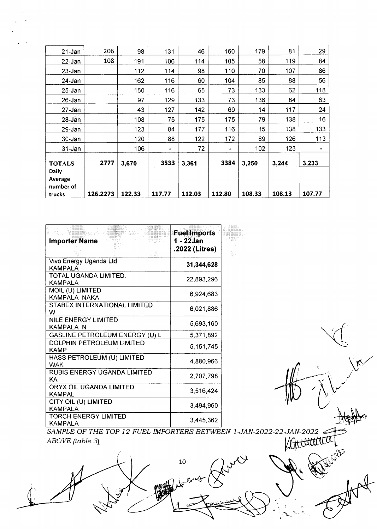| 21-Jan                  | 206      | 98     | 131            | 46     | 160    | 179    | 81     | 29                           |
|-------------------------|----------|--------|----------------|--------|--------|--------|--------|------------------------------|
| $22 - Jan$              | 108      | 191    | 106            | 114    | 105    | 58     | 119    | 84                           |
| $23 - Jan$              |          | 112    | 114            | 98     | 110    | 70     | 107    | 86                           |
| 24-Jan                  |          | 162    | 116            | 60     | 104    | 85     | 88     | 56                           |
| $25 - Jan$              |          | 150    | 116            | 65     | 73     | 133    | 62     | 118                          |
| $26 - Jan$              |          | 97     | 129            | 133    | 73     | 136    | 84     | 63                           |
| $27 - Jan$              |          | 43     | 127            | 142    | 69     | 14     | 117    | 24                           |
| $28 - Jan$              |          | 108    | 75             | 175    | 175    | 79     | 138    | 16                           |
| 29-Jan                  |          | 123    | 84             | 177    | 116    | 15     | 138    | 133                          |
| $30 - Jan$              |          | 120    | 88             | 122    | 172    | 89     | 126    | 113                          |
| $31 - Jan$              |          | 106    | $\blacksquare$ | 72     |        | 102    | 123    | $\qquad \qquad \blacksquare$ |
| <b>TOTALS</b>           | 2777     | 3,670  | 3533           | 3,361  | 3384   | 3,250  | 3,244  | 3,233                        |
| <b>Daily</b><br>Average |          |        |                |        |        |        |        |                              |
| number of<br>trucks     | 126.2273 | 122.33 | 117.77         | 112.03 | 112.80 | 108.33 | 108.13 | 107.77                       |

| <b>Importer Name</b>                          | <b>Fuel Imports</b><br>1 - 22Jan<br>.2022 (Litres) |  |
|-----------------------------------------------|----------------------------------------------------|--|
| Vivo Energy Uganda Ltd<br><b>KAMPALA</b>      | 31,344,628                                         |  |
| TOTAL UGANDA LIMITED.<br><b>KAMPALA</b>       | 22,893,296                                         |  |
| MOIL (U) LIMITED<br>KAMPALA NAKA              | 6,924,683                                          |  |
| STABEX INTERNATIONAL LIMITED<br>w             | 6,021,886                                          |  |
| NILE ENERGY LIMITED<br>KAMPALA N              | 5,693,160                                          |  |
| GASLINE PETROLEUM ENERGY (U) L                | 5,371,892                                          |  |
| DOLPHIN PETROLEUM LIMITED<br>KAMP             | 5,151,745                                          |  |
| HASS PETROLEUM (U) LIMITED<br><b>WAK</b>      | 4,880,966                                          |  |
| RUBIS ENERGY UGANDA LIMITED<br><b>KA</b>      | 2,707,798                                          |  |
| ORYX OIL UGANDA LIMITED<br><b>KAMPAL</b>      | 3,516,424                                          |  |
| CITY OIL (U) LIMITED<br><b>KAMPALA</b>        | 3,494,960                                          |  |
| <b>TORCH ENERGY LIMITED</b><br><b>KAMPALA</b> | 3,445,362                                          |  |

ABOVE (table 3l SAMPLE OF THE TOP 12 FUEL IMPORTERS BETWEEN 1 JAN-2022-22-JAN-2022

 $\blacktriangle$ 

10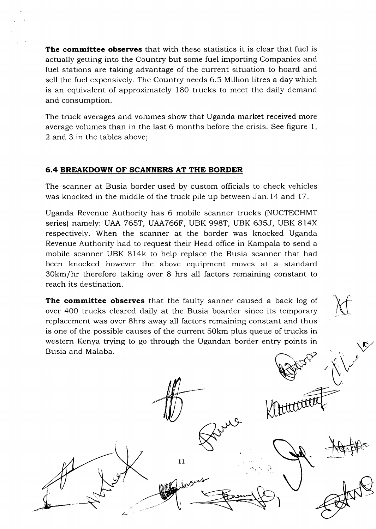The committee observes that with these statistics it is clear that fuel is actually getting into the Country but some fuel importing Companies and fuel stations are taking advantage of the current situation to hoard and sell the fuel expensively. The Country needs 6.5 Million litres a day which is an equivalent of approximately 180 trucks to meet the daily demand and consumption.

The truck averages and volumes show that Uganda market received more average volumes than in the last 6 months before the crisis. See figure 1, 2 and 3 in the tables above;

#### 6.4 BREAKDOWN OF SCANNERS AT THE BORDER

Z.

The scanner at Busia border used by custom officials to check vehicles was knocked in the middle of the truck pile up between Jan.l4 and 17.

Uganda Revenue Authority has 6 mobile scanner trucks (NUCTECHMT series) namely: UAA 765T, UAA766F, UBK 998T, UBK 635J, UBK 8l4X respectively. When the scanner at the border was knocked Uganda Revenue Authority had to request their Head office in Kampala to send a mobile scanner UBK 814k to help replace the Busia scanner that had been knocked however the above equipment moves at a standard 3Okm/hr therefore taking over 8 hrs all factors remaining constant to reach its destination.

The committee observes that the faulty sanner caused a back log of over 40O trucks cleared daily at the Busia boarder since its temporary replacement was over 8hrs away all factors remaining constant and thus is one of the possible causes of the current 50km plus queue of trucks in western Kenya trying to go through the Ugandan border entry points in<br>Busia and Malaba.

11

 $z\leftarrow z$  $\sim$ 

M